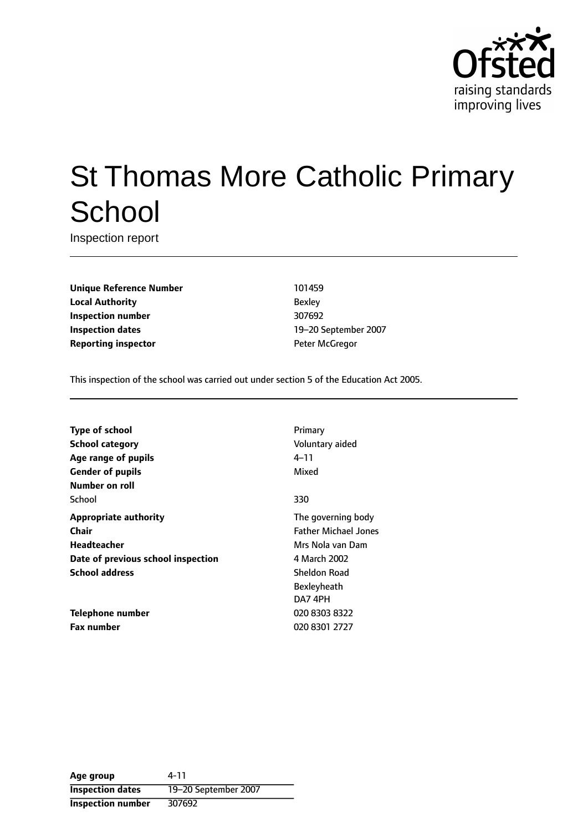

# St Thomas More Catholic Primary **School**

Inspection report

**Unique Reference Number** 101459 **Local Authority** Bexley **Inspection number** 307692 **Inspection dates** 19-20 September 2007 **Reporting inspector CONFIDENTIAL PETER MCGREGORY PETER MCGREGORY PETER MCGREGORY PETER MCGREGORY PETER MCGREGORY PETER MCGREGORY PETER MCGREGORY PETER MCGREGORY PETER MCGREGORY PETER MCGREGORY PETER MCGREGORY PETER MCGR** 

This inspection of the school was carried out under section 5 of the Education Act 2005.

| <b>Type of school</b>              | Primary                     |
|------------------------------------|-----------------------------|
| School category                    | Voluntary aided             |
| Age range of pupils                | 4–11                        |
| <b>Gender of pupils</b>            | Mixed                       |
| Number on roll                     |                             |
| School                             | 330                         |
| <b>Appropriate authority</b>       | The governing body          |
| Chair                              | <b>Father Michael Jones</b> |
| Headteacher                        | Mrs Nola van Dam            |
| Date of previous school inspection | 4 March 2002                |
| <b>School address</b>              | Sheldon Road                |
|                                    | Bexleyheath                 |
|                                    | DA7 4PH                     |
| Telephone number                   | 020 8303 8322               |
| <b>Fax number</b>                  | 020 8301 2727               |

**Age group** 4-11 **Inspection dates** 19-20 September 2007 **Inspection number** 307692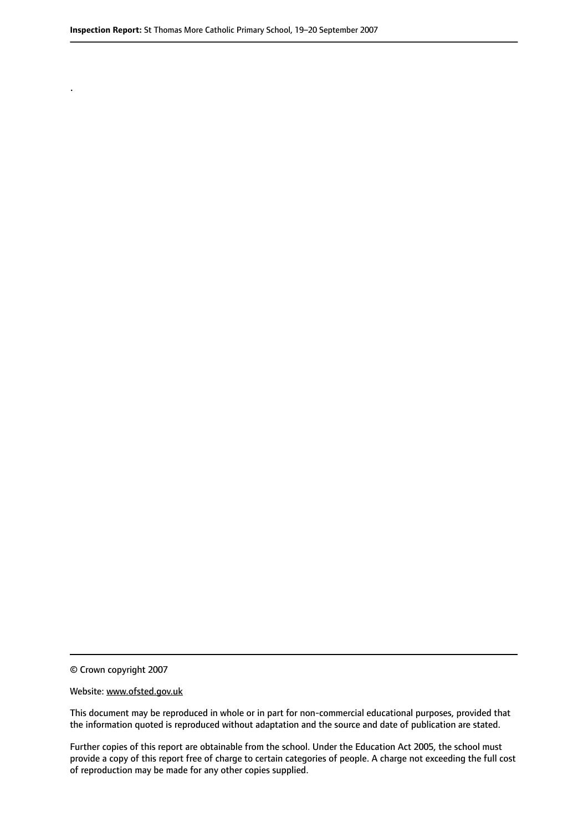© Crown copyright 2007

.

#### Website: www.ofsted.gov.uk

This document may be reproduced in whole or in part for non-commercial educational purposes, provided that the information quoted is reproduced without adaptation and the source and date of publication are stated.

Further copies of this report are obtainable from the school. Under the Education Act 2005, the school must provide a copy of this report free of charge to certain categories of people. A charge not exceeding the full cost of reproduction may be made for any other copies supplied.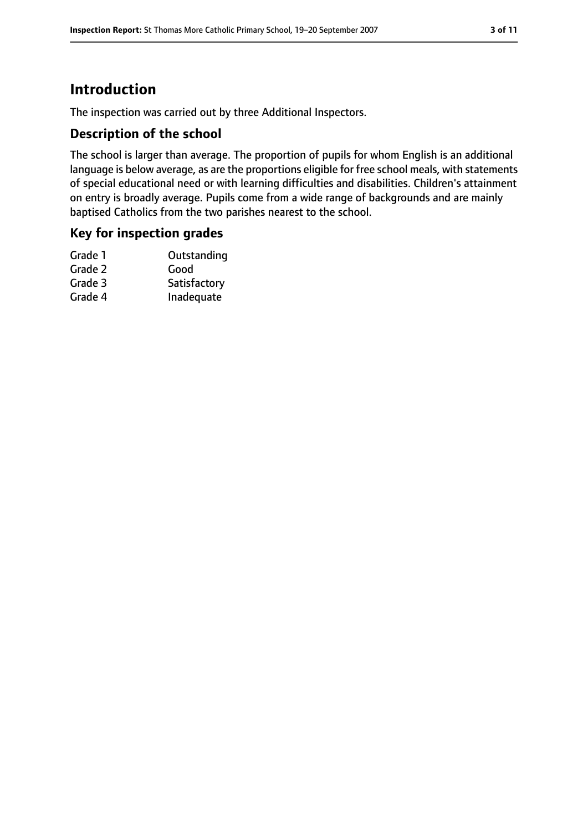# **Introduction**

The inspection was carried out by three Additional Inspectors.

## **Description of the school**

The school is larger than average. The proportion of pupils for whom English is an additional language is below average, as are the proportions eligible for free school meals, with statements of special educational need or with learning difficulties and disabilities. Children's attainment on entry is broadly average. Pupils come from a wide range of backgrounds and are mainly baptised Catholics from the two parishes nearest to the school.

## **Key for inspection grades**

| Outstanding  |
|--------------|
| Good         |
| Satisfactory |
| Inadequate   |
|              |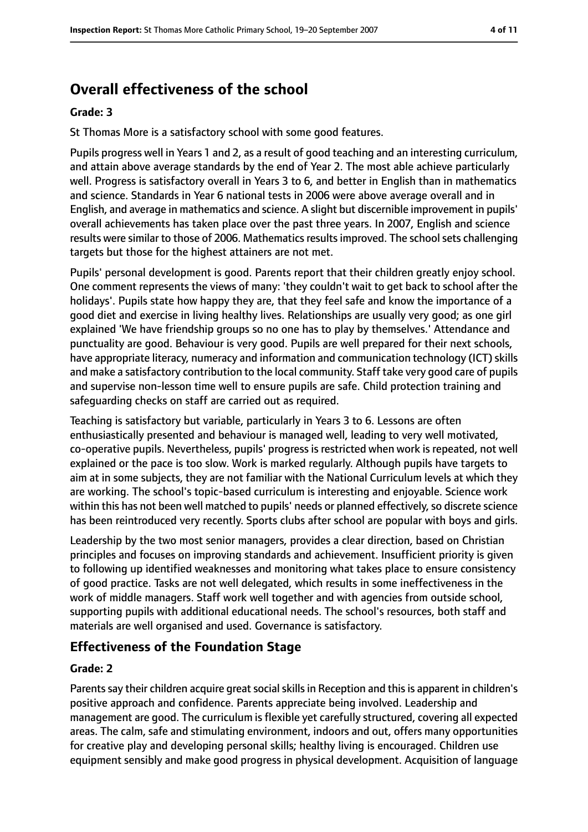# **Overall effectiveness of the school**

#### **Grade: 3**

St Thomas More is a satisfactory school with some good features.

Pupils progress well in Years 1 and 2, as a result of good teaching and an interesting curriculum, and attain above average standards by the end of Year 2. The most able achieve particularly well. Progress is satisfactory overall in Years 3 to 6, and better in English than in mathematics and science. Standards in Year 6 national tests in 2006 were above average overall and in English, and average in mathematics and science. A slight but discernible improvement in pupils' overall achievements has taken place over the past three years. In 2007, English and science results were similar to those of 2006. Mathematics results improved. The school sets challenging targets but those for the highest attainers are not met.

Pupils' personal development is good. Parents report that their children greatly enjoy school. One comment represents the views of many: 'they couldn't wait to get back to school after the holidays'. Pupils state how happy they are, that they feel safe and know the importance of a good diet and exercise in living healthy lives. Relationships are usually very good; as one girl explained 'We have friendship groups so no one has to play by themselves.' Attendance and punctuality are good. Behaviour is very good. Pupils are well prepared for their next schools, have appropriate literacy, numeracy and information and communication technology (ICT) skills and make a satisfactory contribution to the local community. Staff take very good care of pupils and supervise non-lesson time well to ensure pupils are safe. Child protection training and safeguarding checks on staff are carried out as required.

Teaching is satisfactory but variable, particularly in Years 3 to 6. Lessons are often enthusiastically presented and behaviour is managed well, leading to very well motivated, co-operative pupils. Nevertheless, pupils' progress is restricted when work is repeated, not well explained or the pace is too slow. Work is marked regularly. Although pupils have targets to aim at in some subjects, they are not familiar with the National Curriculum levels at which they are working. The school's topic-based curriculum is interesting and enjoyable. Science work within this has not been well matched to pupils' needs or planned effectively, so discrete science has been reintroduced very recently. Sports clubs after school are popular with boys and girls.

Leadership by the two most senior managers, provides a clear direction, based on Christian principles and focuses on improving standards and achievement. Insufficient priority is given to following up identified weaknesses and monitoring what takes place to ensure consistency of good practice. Tasks are not well delegated, which results in some ineffectiveness in the work of middle managers. Staff work well together and with agencies from outside school, supporting pupils with additional educational needs. The school's resources, both staff and materials are well organised and used. Governance is satisfactory.

#### **Effectiveness of the Foundation Stage**

#### **Grade: 2**

Parents say their children acquire great social skills in Reception and this is apparent in children's positive approach and confidence. Parents appreciate being involved. Leadership and management are good. The curriculum is flexible yet carefully structured, covering all expected areas. The calm, safe and stimulating environment, indoors and out, offers many opportunities for creative play and developing personal skills; healthy living is encouraged. Children use equipment sensibly and make good progress in physical development. Acquisition of language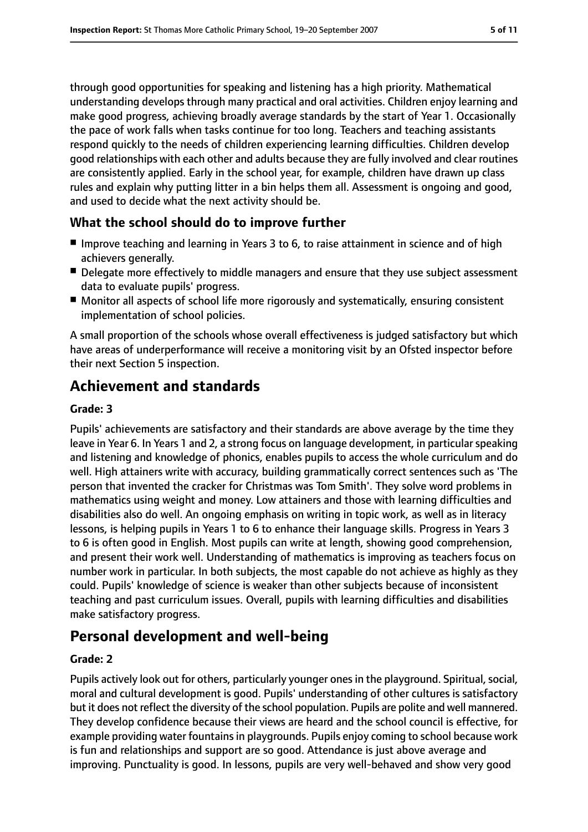through good opportunities for speaking and listening has a high priority. Mathematical understanding develops through many practical and oral activities. Children enjoy learning and make good progress, achieving broadly average standards by the start of Year 1. Occasionally the pace of work falls when tasks continue for too long. Teachers and teaching assistants respond quickly to the needs of children experiencing learning difficulties. Children develop good relationships with each other and adults because they are fully involved and clear routines are consistently applied. Early in the school year, for example, children have drawn up class rules and explain why putting litter in a bin helps them all. Assessment is ongoing and good, and used to decide what the next activity should be.

## **What the school should do to improve further**

- Improve teaching and learning in Years 3 to 6, to raise attainment in science and of high achievers generally.
- Delegate more effectively to middle managers and ensure that they use subject assessment data to evaluate pupils' progress.
- Monitor all aspects of school life more rigorously and systematically, ensuring consistent implementation of school policies.

A small proportion of the schools whose overall effectiveness is judged satisfactory but which have areas of underperformance will receive a monitoring visit by an Ofsted inspector before their next Section 5 inspection.

# **Achievement and standards**

#### **Grade: 3**

Pupils' achievements are satisfactory and their standards are above average by the time they leave in Year 6. In Years 1 and 2, a strong focus on language development, in particular speaking and listening and knowledge of phonics, enables pupils to access the whole curriculum and do well. High attainers write with accuracy, building grammatically correct sentences such as 'The person that invented the cracker for Christmas was Tom Smith'. They solve word problems in mathematics using weight and money. Low attainers and those with learning difficulties and disabilities also do well. An ongoing emphasis on writing in topic work, as well as in literacy lessons, is helping pupils in Years 1 to 6 to enhance their language skills. Progress in Years 3 to 6 is often good in English. Most pupils can write at length, showing good comprehension, and present their work well. Understanding of mathematics is improving as teachers focus on number work in particular. In both subjects, the most capable do not achieve as highly as they could. Pupils' knowledge of science is weaker than other subjects because of inconsistent teaching and past curriculum issues. Overall, pupils with learning difficulties and disabilities make satisfactory progress.

# **Personal development and well-being**

#### **Grade: 2**

Pupils actively look out for others, particularly younger ones in the playground. Spiritual, social, moral and cultural development is good. Pupils' understanding of other cultures is satisfactory but it does not reflect the diversity of the school population. Pupils are polite and well mannered. They develop confidence because their views are heard and the school council is effective, for example providing water fountains in playgrounds. Pupils enjoy coming to school because work is fun and relationships and support are so good. Attendance is just above average and improving. Punctuality is good. In lessons, pupils are very well-behaved and show very good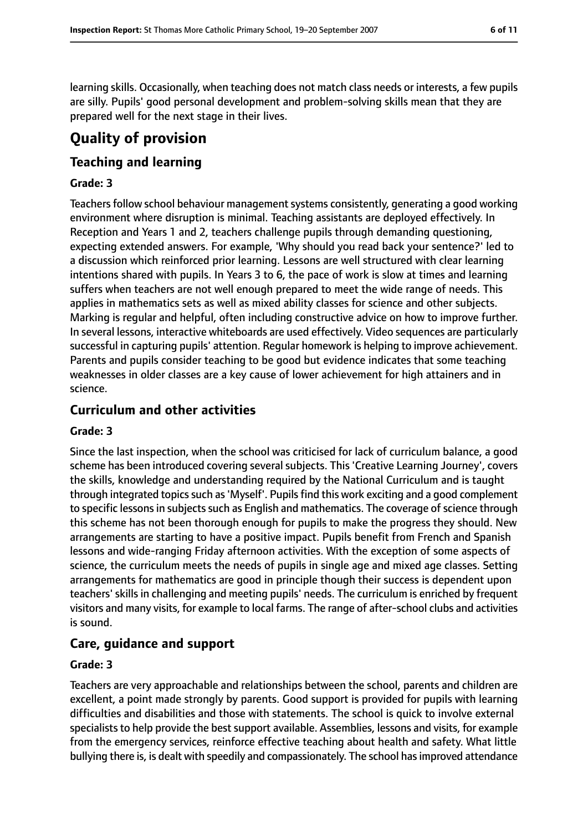learning skills. Occasionally, when teaching does not match class needs or interests, a few pupils are silly. Pupils' good personal development and problem-solving skills mean that they are prepared well for the next stage in their lives.

# **Quality of provision**

## **Teaching and learning**

#### **Grade: 3**

Teachers follow school behaviour management systems consistently, generating a good working environment where disruption is minimal. Teaching assistants are deployed effectively. In Reception and Years 1 and 2, teachers challenge pupils through demanding questioning, expecting extended answers. For example, 'Why should you read back your sentence?' led to a discussion which reinforced prior learning. Lessons are well structured with clear learning intentions shared with pupils. In Years 3 to 6, the pace of work is slow at times and learning suffers when teachers are not well enough prepared to meet the wide range of needs. This applies in mathematics sets as well as mixed ability classes for science and other subjects. Marking is regular and helpful, often including constructive advice on how to improve further. In several lessons, interactive whiteboards are used effectively. Video sequences are particularly successful in capturing pupils' attention. Regular homework is helping to improve achievement. Parents and pupils consider teaching to be good but evidence indicates that some teaching weaknesses in older classes are a key cause of lower achievement for high attainers and in science.

## **Curriculum and other activities**

#### **Grade: 3**

Since the last inspection, when the school was criticised for lack of curriculum balance, a good scheme has been introduced covering several subjects. This 'Creative Learning Journey', covers the skills, knowledge and understanding required by the National Curriculum and is taught through integrated topics such as 'Myself'. Pupils find this work exciting and a good complement to specific lessons in subjects such as English and mathematics. The coverage of science through this scheme has not been thorough enough for pupils to make the progress they should. New arrangements are starting to have a positive impact. Pupils benefit from French and Spanish lessons and wide-ranging Friday afternoon activities. With the exception of some aspects of science, the curriculum meets the needs of pupils in single age and mixed age classes. Setting arrangements for mathematics are good in principle though their success is dependent upon teachers' skills in challenging and meeting pupils' needs. The curriculum is enriched by frequent visitors and many visits, for example to local farms. The range of after-school clubs and activities is sound.

## **Care, guidance and support**

#### **Grade: 3**

Teachers are very approachable and relationships between the school, parents and children are excellent, a point made strongly by parents. Good support is provided for pupils with learning difficulties and disabilities and those with statements. The school is quick to involve external specialists to help provide the best support available. Assemblies, lessons and visits, for example from the emergency services, reinforce effective teaching about health and safety. What little bullying there is, is dealt with speedily and compassionately. The school has improved attendance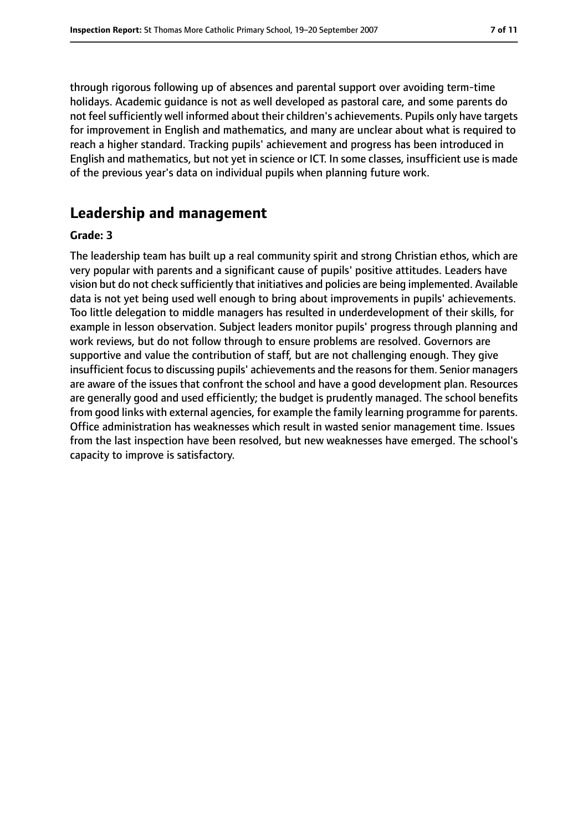through rigorous following up of absences and parental support over avoiding term-time holidays. Academic guidance is not as well developed as pastoral care, and some parents do not feel sufficiently well informed about their children's achievements. Pupils only have targets for improvement in English and mathematics, and many are unclear about what is required to reach a higher standard. Tracking pupils' achievement and progress has been introduced in English and mathematics, but not yet in science or ICT. In some classes, insufficient use is made of the previous year's data on individual pupils when planning future work.

## **Leadership and management**

#### **Grade: 3**

The leadership team has built up a real community spirit and strong Christian ethos, which are very popular with parents and a significant cause of pupils' positive attitudes. Leaders have vision but do not check sufficiently that initiatives and policies are being implemented. Available data is not yet being used well enough to bring about improvements in pupils' achievements. Too little delegation to middle managers has resulted in underdevelopment of their skills, for example in lesson observation. Subject leaders monitor pupils' progress through planning and work reviews, but do not follow through to ensure problems are resolved. Governors are supportive and value the contribution of staff, but are not challenging enough. They give insufficient focus to discussing pupils' achievements and the reasons for them. Senior managers are aware of the issues that confront the school and have a good development plan. Resources are generally good and used efficiently; the budget is prudently managed. The school benefits from good links with external agencies, for example the family learning programme for parents. Office administration has weaknesses which result in wasted senior management time. Issues from the last inspection have been resolved, but new weaknesses have emerged. The school's capacity to improve is satisfactory.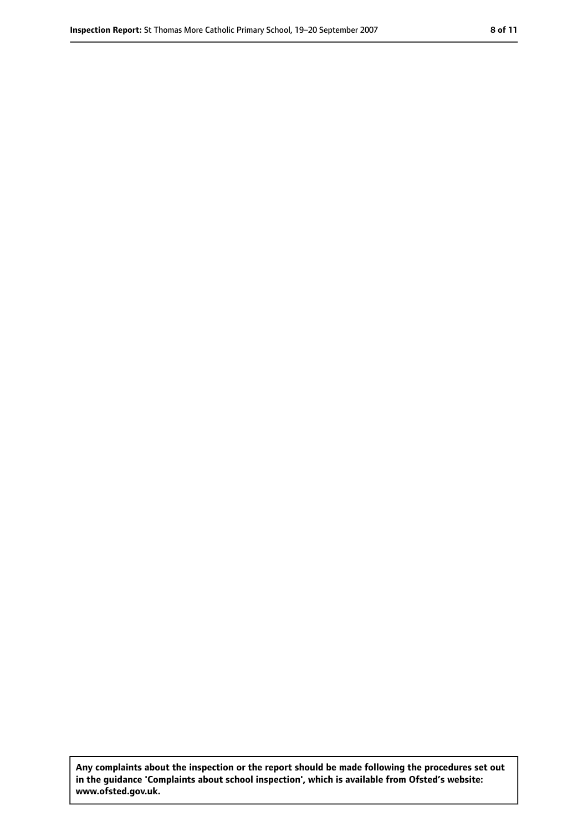**Any complaints about the inspection or the report should be made following the procedures set out in the guidance 'Complaints about school inspection', which is available from Ofsted's website: www.ofsted.gov.uk.**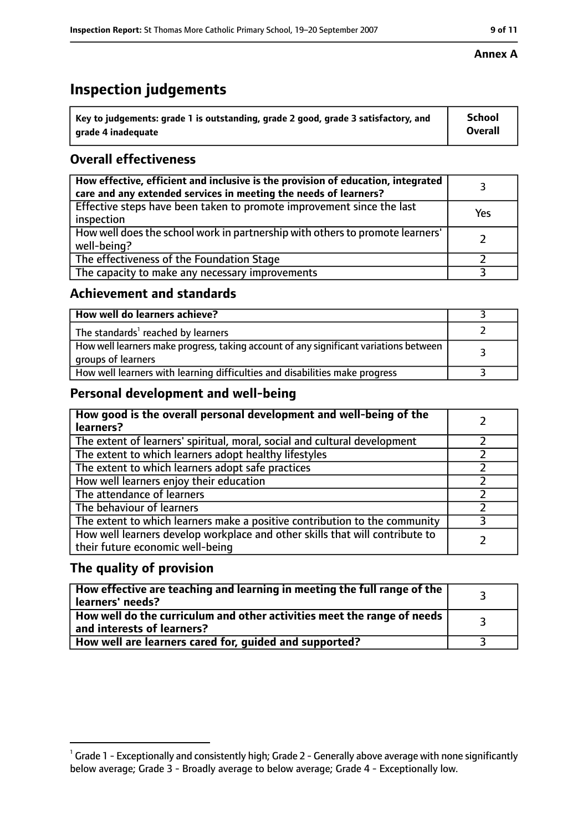# **Inspection judgements**

| $^{\backprime}$ Key to judgements: grade 1 is outstanding, grade 2 good, grade 3 satisfactory, and | <b>School</b>  |
|----------------------------------------------------------------------------------------------------|----------------|
| arade 4 inadeguate                                                                                 | <b>Overall</b> |

## **Overall effectiveness**

| How effective, efficient and inclusive is the provision of education, integrated<br>care and any extended services in meeting the needs of learners? |     |
|------------------------------------------------------------------------------------------------------------------------------------------------------|-----|
| Effective steps have been taken to promote improvement since the last<br>inspection                                                                  | Yes |
| How well does the school work in partnership with others to promote learners'<br>well-being?                                                         |     |
| The effectiveness of the Foundation Stage                                                                                                            |     |
| The capacity to make any necessary improvements                                                                                                      |     |

#### **Achievement and standards**

| How well do learners achieve?                                                                               |  |
|-------------------------------------------------------------------------------------------------------------|--|
| The standards <sup>1</sup> reached by learners                                                              |  |
| How well learners make progress, taking account of any significant variations between<br>groups of learners |  |
| How well learners with learning difficulties and disabilities make progress                                 |  |

## **Personal development and well-being**

| How good is the overall personal development and well-being of the<br>learners?                                  |  |
|------------------------------------------------------------------------------------------------------------------|--|
| The extent of learners' spiritual, moral, social and cultural development                                        |  |
| The extent to which learners adopt healthy lifestyles                                                            |  |
| The extent to which learners adopt safe practices                                                                |  |
| How well learners enjoy their education                                                                          |  |
| The attendance of learners                                                                                       |  |
| The behaviour of learners                                                                                        |  |
| The extent to which learners make a positive contribution to the community                                       |  |
| How well learners develop workplace and other skills that will contribute to<br>their future economic well-being |  |

## **The quality of provision**

| How effective are teaching and learning in meeting the full range of the<br>learners' needs?          |  |
|-------------------------------------------------------------------------------------------------------|--|
| How well do the curriculum and other activities meet the range of needs<br>and interests of learners? |  |
| How well are learners cared for, guided and supported?                                                |  |

#### **Annex A**

 $^1$  Grade 1 - Exceptionally and consistently high; Grade 2 - Generally above average with none significantly below average; Grade 3 - Broadly average to below average; Grade 4 - Exceptionally low.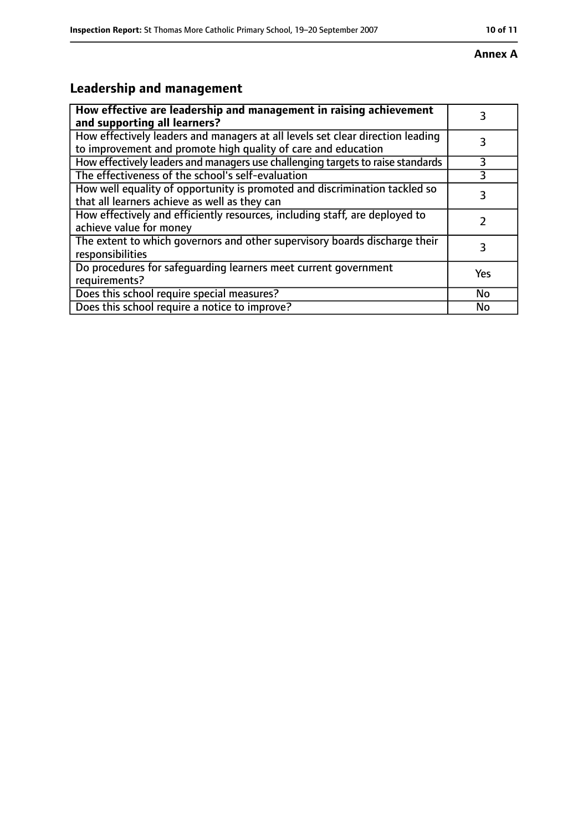#### **Annex A**

# **Leadership and management**

| How effective are leadership and management in raising achievement<br>and supporting all learners?                                              | 3         |
|-------------------------------------------------------------------------------------------------------------------------------------------------|-----------|
| How effectively leaders and managers at all levels set clear direction leading<br>to improvement and promote high quality of care and education |           |
| How effectively leaders and managers use challenging targets to raise standards                                                                 | 3         |
| The effectiveness of the school's self-evaluation                                                                                               | 3         |
| How well equality of opportunity is promoted and discrimination tackled so<br>that all learners achieve as well as they can                     | 3         |
| How effectively and efficiently resources, including staff, are deployed to<br>achieve value for money                                          |           |
| The extent to which governors and other supervisory boards discharge their<br>responsibilities                                                  | 3         |
| Do procedures for safequarding learners meet current government<br>requirements?                                                                | Yes       |
| Does this school require special measures?                                                                                                      | <b>No</b> |
| Does this school require a notice to improve?                                                                                                   | No        |